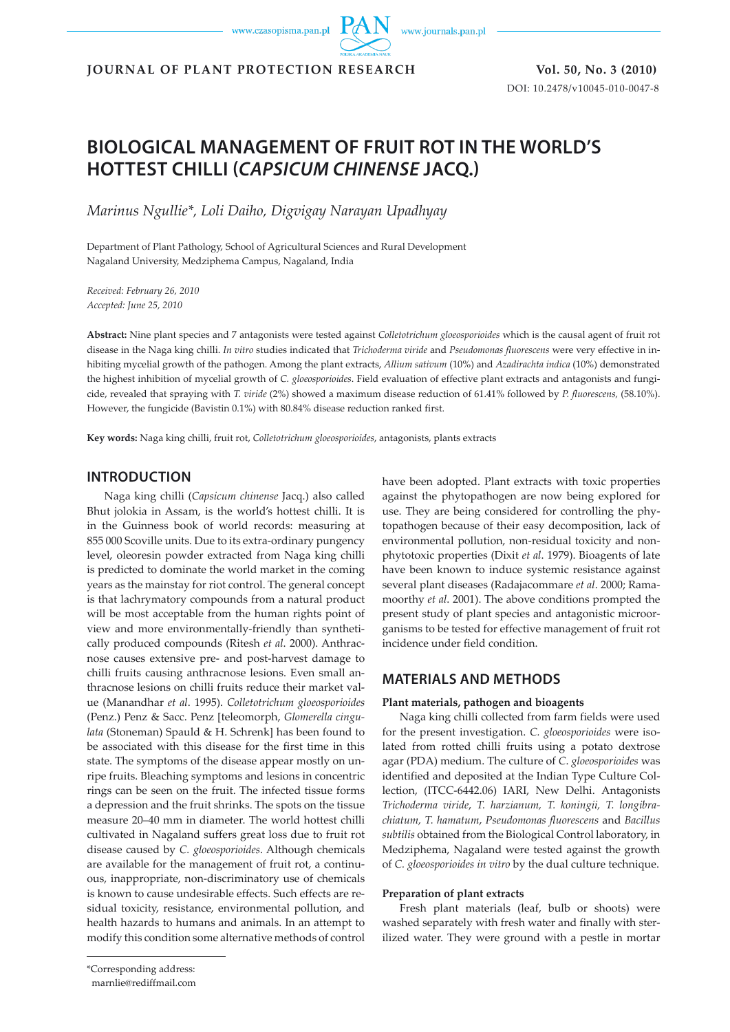www.czasopisma.pan.pl

www.journals.pan.pl

**JOURNAL OF PLANT PROTECTION RESEARCH Vol. 50, No. 3 (2010)**

DOI: 10.2478/v10045-010-0047-8

# **BIOLOGICAL MANAGEMENT OF FRUIT ROT IN THE WORLD'S HOTTEST CHILLI (***CAPSICUM CHINENSE* **JACQ.)**

*Marinus Ngullie\*, Loli Daiho, Digvigay Narayan Upadhyay*

Department of Plant Pathology, School of Agricultural Sciences and Rural Development Nagaland University, Medziphema Campus, Nagaland, India

*Received: February 26, 2010 Accepted: June 25, 2010*

**Abstract:** Nine plant species and 7 antagonists were tested against *Colletotrichum gloeosporioides* which is the causal agent of fruit rot disease in the Naga king chilli. *In vitro* studies indicated that *Trichoderma viride* and *Pseudomonas fluorescens* were very effective in inhibiting mycelial growth of the pathogen. Among the plant extracts, *Allium sativum* (10%) and *Azadirachta indica* (10%) demonstrated the highest inhibition of mycelial growth of *C. gloeosporioides*. Field evaluation of effective plant extracts and antagonists and fungicide, revealed that spraying with *T. viride* (2%) showed a maximum disease reduction of 61.41% followed by *P. fluorescens,* (58.10%). However, the fungicide (Bavistin 0.1%) with 80.84% disease reduction ranked first.

**Key words:** Naga king chilli, fruit rot, *Colletotrichum gloeosporioides*, antagonists, plants extracts

# **INTRODUCTION**

Naga king chilli (*Capsicum chinense* Jacq.) also called Bhut jolokia in Assam, is the world's hottest chilli. It is in the Guinness book of world records: measuring at 855 000 Scoville units. Due to its extra-ordinary pungency level, oleoresin powder extracted from Naga king chilli is predicted to dominate the world market in the coming years as the mainstay for riot control. The general concept is that lachrymatory compounds from a natural product will be most acceptable from the human rights point of view and more environmentally-friendly than synthetically produced compounds (Ritesh *et al*. 2000). Anthracnose causes extensive pre- and post-harvest damage to chilli fruits causing anthracnose lesions. Even small anthracnose lesions on chilli fruits reduce their market value (Manandhar *et al*. 1995). *Colletotrichum gloeosporioides* (Penz.) Penz & Sacc. Penz [teleomorph, *Glomerella cingulata* (Stoneman) Spauld & H. Schrenk] has been found to be associated with this disease for the first time in this state. The symptoms of the disease appear mostly on unripe fruits. Bleaching symptoms and lesions in concentric rings can be seen on the fruit. The infected tissue forms a depression and the fruit shrinks. The spots on the tissue measure 20–40 mm in diameter. The world hottest chilli cultivated in Nagaland suffers great loss due to fruit rot disease caused by *C. gloeosporioides*. Although chemicals are available for the management of fruit rot, a continuous, inappropriate, non-discriminatory use of chemicals is known to cause undesirable effects. Such effects are residual toxicity, resistance, environmental pollution, and health hazards to humans and animals. In an attempt to modify this condition some alternative methods of control

have been adopted. Plant extracts with toxic properties against the phytopathogen are now being explored for use. They are being considered for controlling the phytopathogen because of their easy decomposition, lack of environmental pollution, non-residual toxicity and nonphytotoxic properties (Dixit *et al*. 1979). Bioagents of late have been known to induce systemic resistance against several plant diseases (Radajacommare *et al*. 2000; Ramamoorthy *et al*. 2001). The above conditions prompted the present study of plant species and antagonistic microorganisms to be tested for effective management of fruit rot incidence under field condition.

# **MATERIALS AND METHODS**

### **Plant materials, pathogen and bioagents**

Naga king chilli collected from farm fields were used for the present investigation. *C. gloeosporioides* were isolated from rotted chilli fruits using a potato dextrose agar (PDA) medium. The culture of *C*. *gloeosporioides* was identified and deposited at the Indian Type Culture Collection, (ITCC-6442.06) IARI, New Delhi. Antagonists *Trichoderma viride*, *T. harzianum, T. koningii, T. longibrachiatum, T. hamatum*, *Pseudomonas fluorescens* and *Bacillus subtilis* obtained from the Biological Control laboratory, in Medziphema, Nagaland were tested against the growth of *C. gloeosporioides in vitro* by the dual culture technique.

#### **Preparation of plant extracts**

Fresh plant materials (leaf, bulb or shoots) were washed separately with fresh water and finally with sterilized water. They were ground with a pestle in mortar

<sup>\*</sup>Corresponding address:

marnlie@rediffmail.com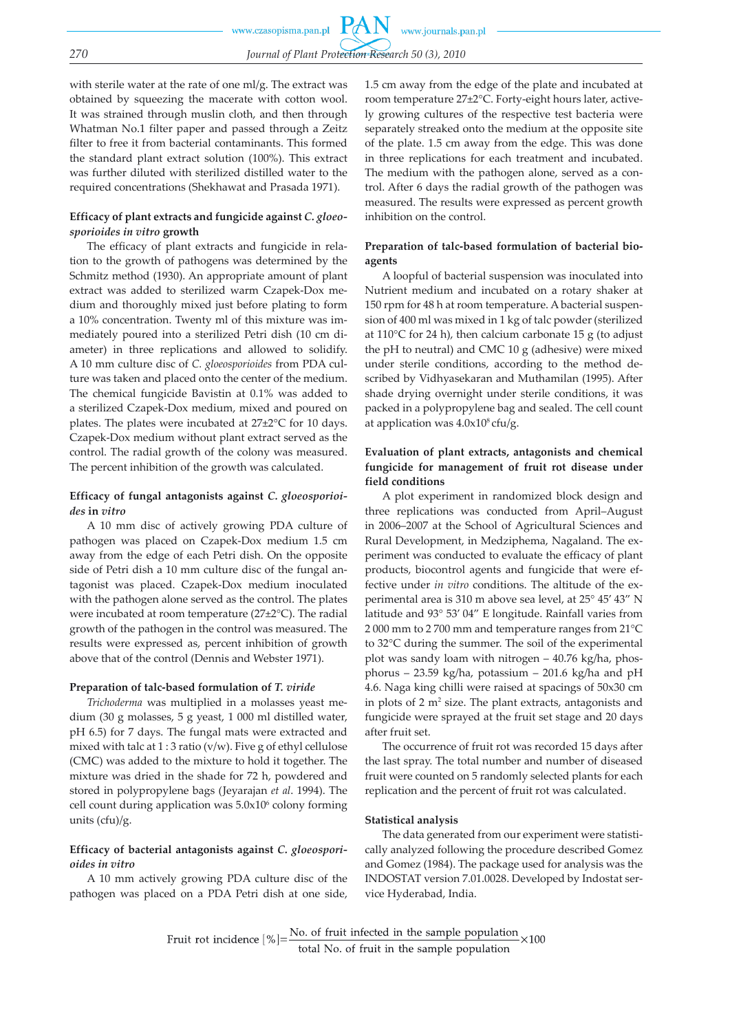with sterile water at the rate of one ml/g. The extract was obtained by squeezing the macerate with cotton wool. It was strained through muslin cloth, and then through Whatman No.1 filter paper and passed through a Zeitz filter to free it from bacterial contaminants. This formed the standard plant extract solution (100%). This extract was further diluted with sterilized distilled water to the required concentrations (Shekhawat and Prasada 1971).

### **Efficacy of plant extracts and fungicide against** *C. gloeosporioides in vitro* **growth**

The efficacy of plant extracts and fungicide in relation to the growth of pathogens was determined by the Schmitz method (1930). An appropriate amount of plant extract was added to sterilized warm Czapek-Dox medium and thoroughly mixed just before plating to form a 10% concentration. Twenty ml of this mixture was immediately poured into a sterilized Petri dish (10 cm diameter) in three replications and allowed to solidify. A 10 mm culture disc of *C. gloeosporioides* from PDA culture was taken and placed onto the center of the medium. The chemical fungicide Bavistin at 0.1% was added to a sterilized Czapek-Dox medium, mixed and poured on plates. The plates were incubated at 27±2°C for 10 days. Czapek-Dox medium without plant extract served as the control. The radial growth of the colony was measured. The percent inhibition of the growth was calculated.

## **Efficacy of fungal antagonists against** *C. gloeosporioides* **in** *vitro*

A 10 mm disc of actively growing PDA culture of pathogen was placed on Czapek-Dox medium 1.5 cm away from the edge of each Petri dish. On the opposite side of Petri dish a 10 mm culture disc of the fungal antagonist was placed. Czapek-Dox medium inoculated with the pathogen alone served as the control. The plates were incubated at room temperature (27±2°C). The radial growth of the pathogen in the control was measured. The results were expressed as, percent inhibition of growth above that of the control (Dennis and Webster 1971).

### **Preparation of talc-based formulation of** *T. viride*

*Trichoderma* was multiplied in a molasses yeast medium (30 g molasses, 5 g yeast, 1 000 ml distilled water, pH 6.5) for 7 days. The fungal mats were extracted and mixed with talc at  $1:3$  ratio (v/w). Five g of ethyl cellulose (CMC) was added to the mixture to hold it together. The mixture was dried in the shade for 72 h, powdered and stored in polypropylene bags (Jeyarajan *et al*. 1994). The  $cell$  count during application was  $5.0 \times 10^6$  colony forming units (cfu)/g.

### **Efficacy of bacterial antagonists against** *C. gloeosporioides in vitro*

A 10 mm actively growing PDA culture disc of the pathogen was placed on a PDA Petri dish at one side,

1.5 cm away from the edge of the plate and incubated at room temperature 27±2°C. Forty-eight hours later, actively growing cultures of the respective test bacteria were separately streaked onto the medium at the opposite site of the plate. 1.5 cm away from the edge. This was done in three replications for each treatment and incubated. The medium with the pathogen alone, served as a control. After 6 days the radial growth of the pathogen was measured. The results were expressed as percent growth inhibition on the control.

### **Preparation of talc-based formulation of bacterial bioagents**

A loopful of bacterial suspension was inoculated into Nutrient medium and incubated on a rotary shaker at 150 rpm for 48 h at room temperature. A bacterial suspension of 400 ml was mixed in 1 kg of talc powder (sterilized at 110°C for 24 h), then calcium carbonate 15 g (to adjust the pH to neutral) and CMC 10 g (adhesive) were mixed under sterile conditions, according to the method described by Vidhyasekaran and Muthamilan (1995). After shade drying overnight under sterile conditions, it was packed in a polypropylene bag and sealed. The cell count at application was  $4.0x10<sup>8</sup>$  cfu/g.

# **Evaluation of plant extracts, antagonists and chemical fungicide for management of fruit rot disease under field conditions**

A plot experiment in randomized block design and three replications was conducted from April–August in 2006–2007 at the School of Agricultural Sciences and Rural Development, in Medziphema, Nagaland. The experiment was conducted to evaluate the efficacy of plant products, biocontrol agents and fungicide that were effective under *in vitro* conditions. The altitude of the experimental area is 310 m above sea level, at 25° 45' 43" N latitude and 93° 53' 04" E longitude. Rainfall varies from 2 000 mm to 2 700 mm and temperature ranges from 21°C to 32°C during the summer. The soil of the experimental plot was sandy loam with nitrogen – 40.76 kg/ha, phosphorus – 23.59 kg/ha, potassium – 201.6 kg/ha and pH 4.6. Naga king chilli were raised at spacings of 50x30 cm in plots of 2 m<sup>2</sup> size. The plant extracts, antagonists and fungicide were sprayed at the fruit set stage and 20 days after fruit set.

The occurrence of fruit rot was recorded 15 days after the last spray. The total number and number of diseased fruit were counted on 5 randomly selected plants for each replication and the percent of fruit rot was calculated.

### **Statistical analysis**

The data generated from our experiment were statistically analyzed following the procedure described Gomez and Gomez (1984). The package used for analysis was the INDOSTAT version 7.01.0028. Developed by Indostat service Hyderabad, India.

Fruit rot incidence  $[\%]=\frac{\text{No. of fruit infected in the sample population}}{\text{total No. of fruit in the sample population}} \times 100$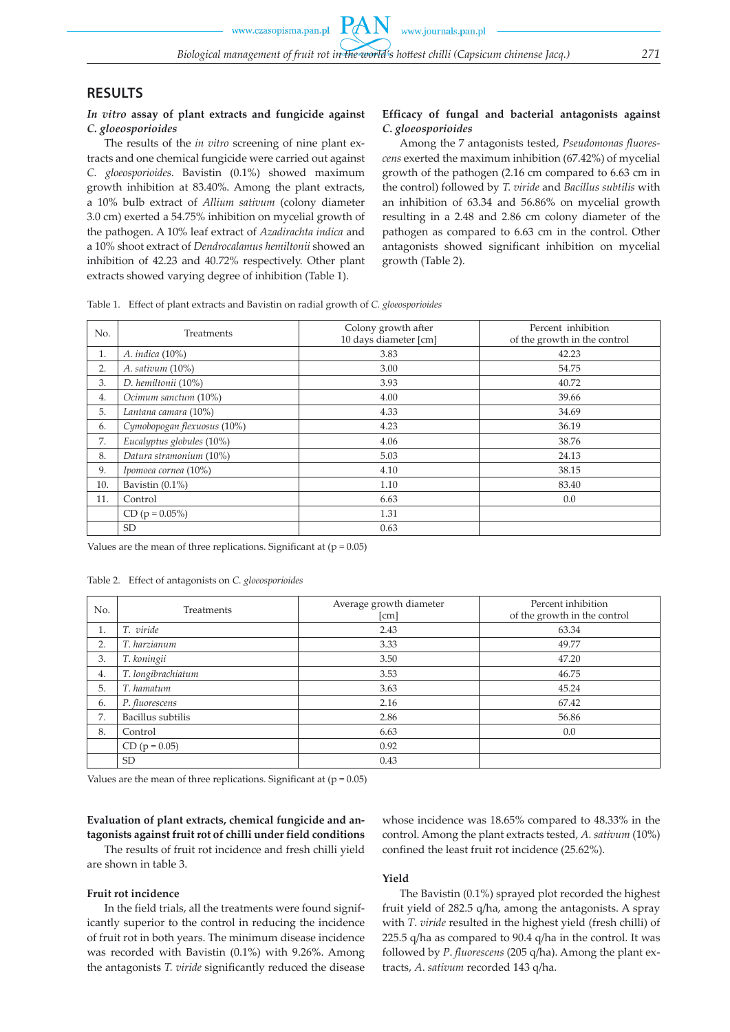# **RESULTS**

### *In vitro* **assay of plant extracts and fungicide against**  *C. gloeosporioides*

The results of the *in vitro* screening of nine plant extracts and one chemical fungicide were carried out against *C. gloeosporioides*. Bavistin (0.1%) showed maximum growth inhibition at 83.40%. Among the plant extracts, a 10% bulb extract of *Allium sativum* (colony diameter 3.0 cm) exerted a 54.75% inhibition on mycelial growth of the pathogen. A 10% leaf extract of *Azadirachta indica* and a 10% shoot extract of *Dendrocalamus hemiltonii* showed an inhibition of 42.23 and 40.72% respectively. Other plant extracts showed varying degree of inhibition (Table 1).

# **Efficacy of fungal and bacterial antagonists against**  *C. gloeosporioides*

Among the 7 antagonists tested, *Pseudomonas fluorescens* exerted the maximum inhibition (67.42%) of mycelial growth of the pathogen (2.16 cm compared to 6.63 cm in the control) followed by *T. viride* and *Bacillus subtilis* with an inhibition of 63.34 and 56.86% on mycelial growth resulting in a 2.48 and 2.86 cm colony diameter of the pathogen as compared to 6.63 cm in the control. Other antagonists showed significant inhibition on mycelial growth (Table 2).

Table 1. Effect of plant extracts and Bavistin on radial growth of *C. gloeosporioides*

| No. | Treatments                  | Colony growth after<br>10 days diameter [cm] | Percent inhibition<br>of the growth in the control |  |
|-----|-----------------------------|----------------------------------------------|----------------------------------------------------|--|
| 1.  | A. <i>indica</i> (10%)      | 3.83                                         | 42.23                                              |  |
| 2.  | A. sativum $(10\%)$         | 3.00                                         | 54.75                                              |  |
| 3.  | D. hemiltonii (10%)         | 3.93                                         | 40.72                                              |  |
| 4.  | Ocimum sanctum (10%)        | 4.00                                         | 39.66                                              |  |
| 5.  | Lantana camara (10%)        | 4.33                                         | 34.69                                              |  |
| 6.  | Cymobopogan flexuosus (10%) | 4.23                                         | 36.19                                              |  |
| 7.  | Eucalyptus globules (10%)   | 4.06                                         | 38.76                                              |  |
| 8.  | Datura stramonium (10%)     | 5.03                                         | 24.13                                              |  |
| 9.  | Ipomoea cornea (10%)        | 4.10                                         | 38.15                                              |  |
| 10. | Bavistin $(0.1\%)$          | 1.10                                         | 83.40                                              |  |
| 11. | Control                     | 6.63                                         | 0.0                                                |  |
|     | $CD (p = 0.05%)$            | 1.31                                         |                                                    |  |
|     | <b>SD</b>                   | 0.63                                         |                                                    |  |

Values are the mean of three replications. Significant at  $(p = 0.05)$ 

Table 2. Effect of antagonists on *C. gloeosporioides*

| No. | Treatments         | Average growth diameter<br>[cm] | Percent inhibition<br>of the growth in the control |
|-----|--------------------|---------------------------------|----------------------------------------------------|
| 1.  | T. viride          | 2.43                            | 63.34                                              |
| 2.  | T. harzianum       | 3.33                            | 49.77                                              |
| 3.  | T. koningii        | 3.50                            | 47.20                                              |
| 4.  | T. longibrachiatum | 3.53                            | 46.75                                              |
| 5.  | T. hamatum         | 3.63                            | 45.24                                              |
| 6.  | P. fluorescens     | 2.16                            | 67.42                                              |
| 7.  | Bacillus subtilis  | 2.86                            | 56.86                                              |
| 8.  | Control            | 6.63                            | 0.0                                                |
|     | $CD (p = 0.05)$    | 0.92                            |                                                    |
|     | <b>SD</b>          | 0.43                            |                                                    |

Values are the mean of three replications. Significant at  $(p = 0.05)$ 

# **Evaluation of plant extracts, chemical fungicide and antagonists against fruit rot of chilli under field conditions**

The results of fruit rot incidence and fresh chilli yield are shown in table 3.

#### **Fruit rot incidence**

In the field trials, all the treatments were found significantly superior to the control in reducing the incidence of fruit rot in both years. The minimum disease incidence was recorded with Bavistin (0.1%) with 9.26%. Among the antagonists *T. viride* significantly reduced the disease whose incidence was 18.65% compared to 48.33% in the control. Among the plant extracts tested, *A. sativum* (10%) confined the least fruit rot incidence (25.62%).

### **Yield**

The Bavistin (0.1%) sprayed plot recorded the highest fruit yield of 282.5 q/ha, among the antagonists. A spray with *T*. *viride* resulted in the highest yield (fresh chilli) of 225.5 q/ha as compared to 90.4 q/ha in the control. It was followed by *P*. *fluorescens* (205 q/ha). Among the plant extracts, *A*. *sativum* recorded 143 q/ha.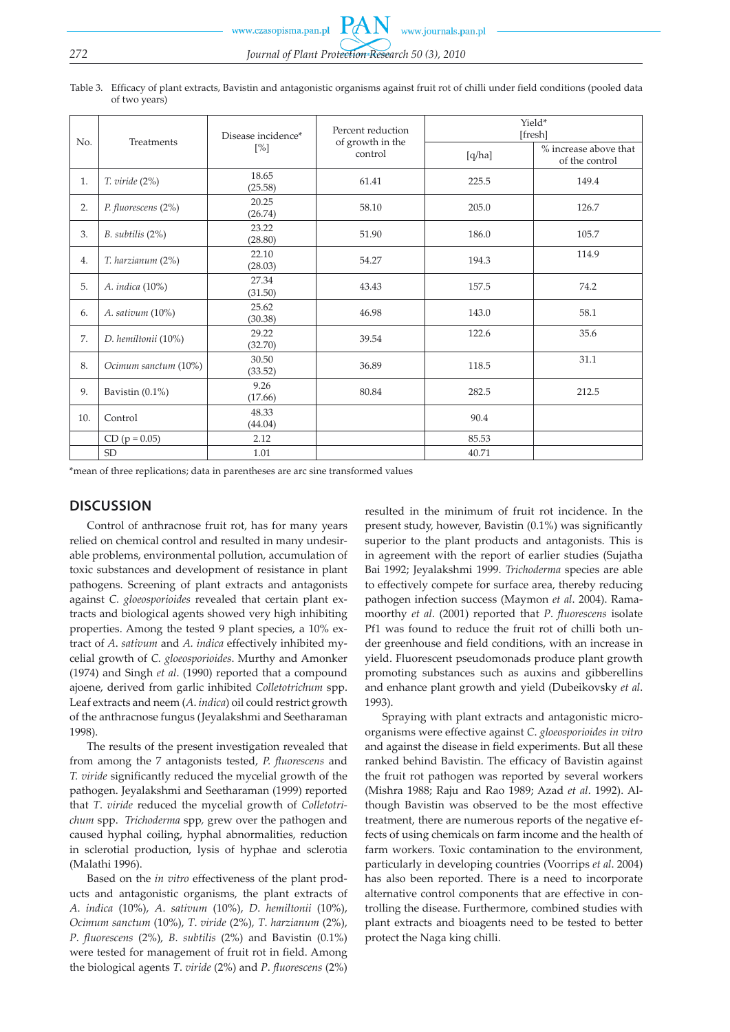www.czasopisma.pan.pl

# *272 Journal of Plant Protection Research 50 (3), 2010*

Table 3. Efficacy of plant extracts, Bavistin and antagonistic organisms against fruit rot of chilli under field conditions (pooled data of two years)

| No. | Treatments           | Disease incidence*<br>$[\%]$ | Percent reduction<br>of growth in the<br>control | Yield*<br>[fresh] |                                         |
|-----|----------------------|------------------------------|--------------------------------------------------|-------------------|-----------------------------------------|
|     |                      |                              |                                                  | [q/ha]            | % increase above that<br>of the control |
| 1.  | $T.$ viride $(2%)$   | 18.65<br>(25.58)             | 61.41                                            | 225.5             | 149.4                                   |
| 2.  | P. fluorescens (2%)  | 20.25<br>(26.74)             | 58.10                                            | 205.0             | 126.7                                   |
| 3.  | $B.$ subtilis $(2%)$ | 23.22<br>(28.80)             | 51.90                                            | 186.0             | 105.7                                   |
| 4.  | T. harzianum (2%)    | 22.10<br>(28.03)             | 54.27                                            | 194.3             | 114.9                                   |
| 5.  | A. indica (10%)      | 27.34<br>(31.50)             | 43.43                                            | 157.5             | 74.2                                    |
| 6.  | A. sativum (10%)     | 25.62<br>(30.38)             | 46.98                                            | 143.0             | 58.1                                    |
| 7.  | D. hemiltonii (10%)  | 29.22<br>(32.70)             | 39.54                                            | 122.6             | 35.6                                    |
| 8.  | Ocimum sanctum (10%) | 30.50<br>(33.52)             | 36.89                                            | 118.5             | 31.1                                    |
| 9.  | Bavistin $(0.1\%)$   | 9.26<br>(17.66)              | 80.84                                            | 282.5             | 212.5                                   |
| 10. | Control              | 48.33<br>(44.04)             |                                                  | 90.4              |                                         |
|     | $CD (p = 0.05)$      | 2.12                         |                                                  | 85.53             |                                         |
|     | <b>SD</b>            | 1.01                         |                                                  | 40.71             |                                         |

\*mean of three replications; data in parentheses are arc sine transformed values

# **DISCUSSION**

Control of anthracnose fruit rot, has for many years relied on chemical control and resulted in many undesirable problems, environmental pollution, accumulation of toxic substances and development of resistance in plant pathogens. Screening of plant extracts and antagonists against *C. gloeosporioides* revealed that certain plant extracts and biological agents showed very high inhibiting properties. Among the tested 9 plant species, a 10% extract of *A*. *sativum* and *A. indica* effectively inhibited mycelial growth of *C. gloeosporioides*. Murthy and Amonker (1974) and Singh *et al*. (1990) reported that a compound ajoene, derived from garlic inhibited *Colletotrichum* spp. Leaf extracts and neem (*A*. *indica*) oil could restrict growth of the anthracnose fungus (Jeyalakshmi and Seetharaman 1998).

The results of the present investigation revealed that from among the 7 antagonists tested, *P. fluorescens* and *T. viride* significantly reduced the mycelial growth of the pathogen. Jeyalakshmi and Seetharaman (1999) reported that *T*. *viride* reduced the mycelial growth of *Colletotrichum* spp. *Trichoderma* spp*,* grew over the pathogen and caused hyphal coiling, hyphal abnormalities, reduction in sclerotial production, lysis of hyphae and sclerotia (Malathi 1996).

Based on the *in vitro* effectiveness of the plant products and antagonistic organisms, the plant extracts of *A*. *indica* (10%), *A*. *sativum* (10%), *D*. *hemiltonii* (10%), *Ocimum sanctum* (10%), *T*. *viride* (2%), *T*. *harzianum* (2%), *P*. *fluorescens* (2%), *B*. *subtilis* (2%) and Bavistin (0.1%) were tested for management of fruit rot in field. Among the biological agents *T*. *viride* (2%) and *P*. *fluorescens* (2%) resulted in the minimum of fruit rot incidence. In the present study, however, Bavistin (0.1%) was significantly superior to the plant products and antagonists. This is in agreement with the report of earlier studies (Sujatha Bai 1992; Jeyalakshmi 1999. *Trichoderma* species are able to effectively compete for surface area, thereby reducing pathogen infection success (Maymon *et al*. 2004). Ramamoorthy *et al*. (2001) reported that *P*. *fluorescens* isolate Pf1 was found to reduce the fruit rot of chilli both under greenhouse and field conditions, with an increase in yield. Fluorescent pseudomonads produce plant growth promoting substances such as auxins and gibberellins and enhance plant growth and yield (Dubeikovsky *et al*. 1993).

Spraying with plant extracts and antagonistic microorganisms were effective against *C*. *gloeosporioides in vitro* and against the disease in field experiments. But all these ranked behind Bavistin. The efficacy of Bavistin against the fruit rot pathogen was reported by several workers (Mishra 1988; Raju and Rao 1989; Azad *et al*. 1992). Although Bavistin was observed to be the most effective treatment, there are numerous reports of the negative effects of using chemicals on farm income and the health of farm workers. Toxic contamination to the environment, particularly in developing countries (Voorrips *et al*. 2004) has also been reported. There is a need to incorporate alternative control components that are effective in controlling the disease. Furthermore, combined studies with plant extracts and bioagents need to be tested to better protect the Naga king chilli.